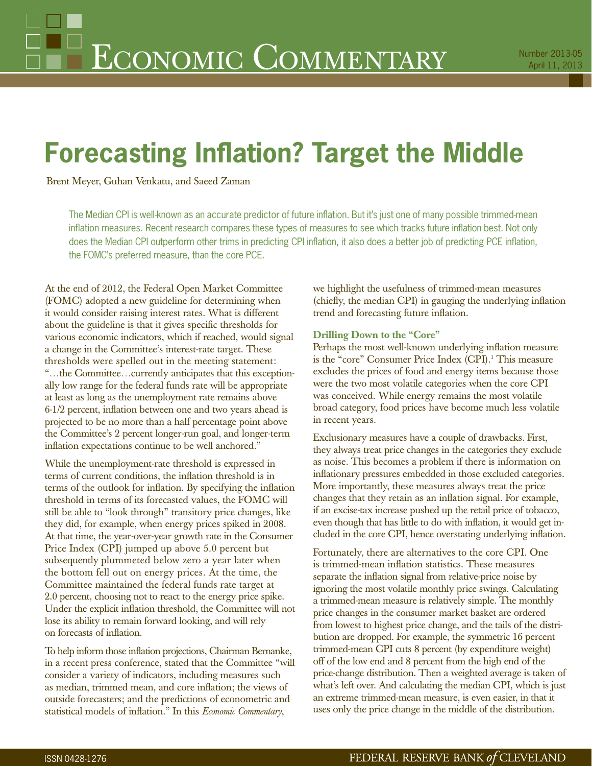# **Forecasting Inflation? Target the Middle**

Brent Meyer, Guhan Venkatu, and Saeed Zaman

The Median CPI is well-known as an accurate predictor of future inflation. But it's just one of many possible trimmed-mean inflation measures. Recent research compares these types of measures to see which tracks future inflation best. Not only does the Median CPI outperform other trims in predicting CPI inflation, it also does a better job of predicting PCE inflation, the FOMC's preferred measure, than the core PCE.

At the end of 2012, the Federal Open Market Committee (FOMC) adopted a new guideline for determining when it would consider raising interest rates. What is different about the guideline is that it gives specific thresholds for various economic indicators, which if reached, would signal a change in the Committee's interest-rate target. These thresholds were spelled out in the meeting statement: "…the Committee…currently anticipates that this exceptionally low range for the federal funds rate will be appropriate at least as long as the unemployment rate remains above 6-1/2 percent, inflation between one and two years ahead is projected to be no more than a half percentage point above the Committee's 2 percent longer-run goal, and longer-term inflation expectations continue to be well anchored."

While the unemployment-rate threshold is expressed in terms of current conditions, the inflation threshold is in terms of the outlook for inflation. By specifying the inflation threshold in terms of its forecasted values, the FOMC will still be able to "look through" transitory price changes, like they did, for example, when energy prices spiked in 2008. At that time, the year-over-year growth rate in the Consumer Price Index (CPI) jumped up above 5.0 percent but subsequently plummeted below zero a year later when the bottom fell out on energy prices. At the time, the Committee maintained the federal funds rate target at 2.0 percent, choosing not to react to the energy price spike. Under the explicit inflation threshold, the Committee will not lose its ability to remain forward looking, and will rely on forecasts of inflation.

To help inform those inflation projections, Chairman Bernanke, in a recent press conference, stated that the Committee "will consider a variety of indicators, including measures such as median, trimmed mean, and core inflation; the views of outside forecasters; and the predictions of econometric and statistical models of inflation." In this *Economic Commentary*,

we highlight the usefulness of trimmed-mean measures (chiefly, the median CPI) in gauging the underlying inflation trend and forecasting future inflation.

# **Drilling Down to the "Core"**

Perhaps the most well-known underlying inflation measure is the "core" Consumer Price Index (CPI).<sup>1</sup> This measure excludes the prices of food and energy items because those were the two most volatile categories when the core CPI was conceived. While energy remains the most volatile broad category, food prices have become much less volatile in recent years.

Exclusionary measures have a couple of drawbacks. First, they always treat price changes in the categories they exclude as noise. This becomes a problem if there is information on inflationary pressures embedded in those excluded categories. More importantly, these measures always treat the price changes that they retain as an inflation signal. For example, if an excise-tax increase pushed up the retail price of tobacco, even though that has little to do with inflation, it would get included in the core CPI, hence overstating underlying inflation.

Fortunately, there are alternatives to the core CPI. One is trimmed-mean inflation statistics. These measures separate the inflation signal from relative-price noise by ignoring the most volatile monthly price swings. Calculating a trimmed-mean measure is relatively simple. The monthly price changes in the consumer market basket are ordered from lowest to highest price change, and the tails of the distribution are dropped. For example, the symmetric 16 percent trimmed-mean CPI cuts 8 percent (by expenditure weight) off of the low end and 8 percent from the high end of the price-change distribution. Then a weighted average is taken of what's left over. And calculating the median CPI, which is just an extreme trimmed-mean measure, is even easier, in that it uses only the price change in the middle of the distribution.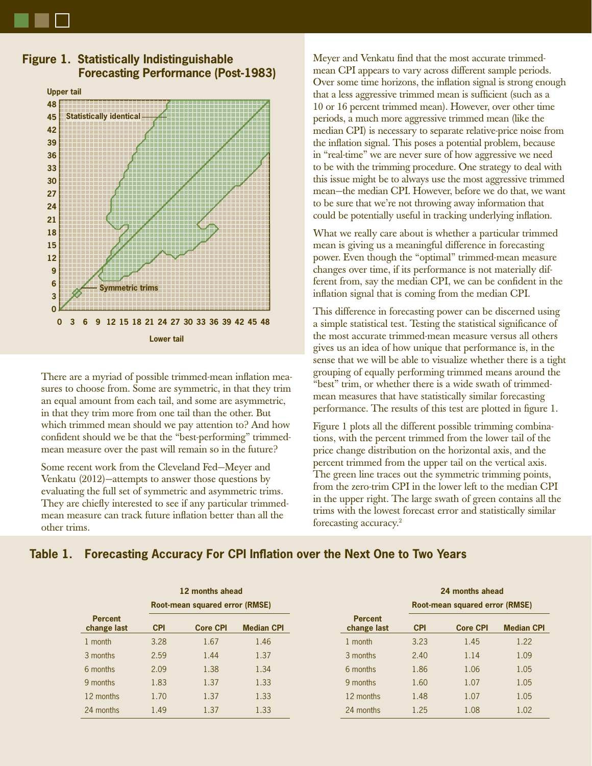



**Figure 1. Statistically Indistinguishable Forecasting Performance (Post-1983)**

There are a myriad of possible trimmed-mean inflation measures to choose from. Some are symmetric, in that they trim an equal amount from each tail, and some are asymmetric, in that they trim more from one tail than the other. But which trimmed mean should we pay attention to? And how confident should we be that the "best-performing" trimmedmean measure over the past will remain so in the future?

Some recent work from the Cleveland Fed—Meyer and Venkatu (2012)—attempts to answer those questions by evaluating the full set of symmetric and asymmetric trims. They are chiefly interested to see if any particular trimmedmean measure can track future inflation better than all the other trims.

Meyer and Venkatu find that the most accurate trimmedmean CPI appears to vary across different sample periods. Over some time horizons, the inflation signal is strong enough that a less aggressive trimmed mean is sufficient (such as a 10 or 16 percent trimmed mean). However, over other time periods, a much more aggressive trimmed mean (like the median CPI) is necessary to separate relative-price noise from the inflation signal. This poses a potential problem, because in "real-time" we are never sure of how aggressive we need to be with the trimming procedure. One strategy to deal with this issue might be to always use the most aggressive trimmed mean—the median CPI. However, before we do that, we want to be sure that we're not throwing away information that could be potentially useful in tracking underlying inflation.

What we really care about is whether a particular trimmed mean is giving us a meaningful difference in forecasting power. Even though the "optimal" trimmed-mean measure changes over time, if its performance is not materially different from, say the median CPI, we can be confident in the inflation signal that is coming from the median CPI.

This difference in forecasting power can be discerned using a simple statistical test. Testing the statistical significance of the most accurate trimmed-mean measure versus all others gives us an idea of how unique that performance is, in the sense that we will be able to visualize whether there is a tight grouping of equally performing trimmed means around the "best" trim, or whether there is a wide swath of trimmedmean measures that have statistically similar forecasting performance. The results of this test are plotted in figure 1.

Figure 1 plots all the different possible trimming combinations, with the percent trimmed from the lower tail of the price change distribution on the horizontal axis, and the percent trimmed from the upper tail on the vertical axis. The green line traces out the symmetric trimming points, from the zero-trim CPI in the lower left to the median CPI in the upper right. The large swath of green contains all the trims with the lowest forecast error and statistically similar forecasting accuracy.2

# **Table 1. Forecasting Accuracy For CPI Inflation over the Next One to Two Years**

|                               |                                | 12 months ahead |                   |                               | 24 months ahead                |                 |                   |
|-------------------------------|--------------------------------|-----------------|-------------------|-------------------------------|--------------------------------|-----------------|-------------------|
| <b>Percent</b><br>change last | Root-mean squared error (RMSE) |                 |                   |                               | Root-mean squared error (RMSE) |                 |                   |
|                               | <b>CPI</b>                     | <b>Core CPI</b> | <b>Median CPI</b> | <b>Percent</b><br>change last | <b>CPI</b>                     | <b>Core CPI</b> | <b>Median CPI</b> |
| 1 month                       | 3.28                           | 1.67            | 1.46              | 1 month                       | 3.23                           | 1.45            | 1.22              |
| 3 months                      | 2.59                           | 1.44            | 1.37              | 3 months                      | 2.40                           | 1.14            | 1.09              |
| 6 months                      | 2.09                           | 1.38            | 1.34              | 6 months                      | 1.86                           | 1.06            | 1.05              |
| 9 months                      | 1.83                           | 1.37            | 1.33              | 9 months                      | 1.60                           | 1.07            | 1.05              |
| 12 months                     | 1.70                           | 1.37            | 1.33              | 12 months                     | 1.48                           | 1.07            | 1.05              |
| 24 months                     | 1.49                           | 1.37            | 1.33              | 24 months                     | 1.25                           | 1.08            | 1.02              |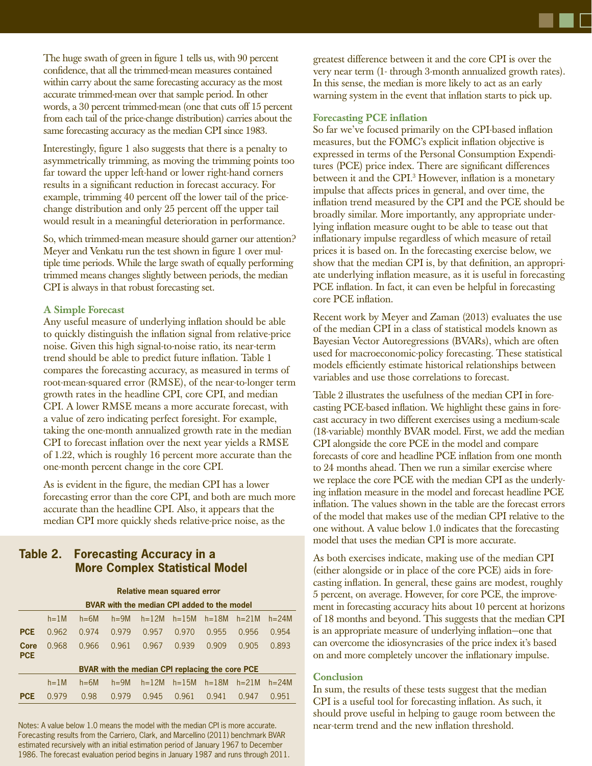The huge swath of green in figure 1 tells us, with 90 percent confidence, that all the trimmed-mean measures contained within carry about the same forecasting accuracy as the most accurate trimmed-mean over that sample period. In other words, a 30 percent trimmed-mean (one that cuts off 15 percent from each tail of the price-change distribution) carries about the same forecasting accuracy as the median CPI since 1983.

Interestingly, figure 1 also suggests that there is a penalty to asymmetrically trimming, as moving the trimming points too far toward the upper left-hand or lower right-hand corners results in a significant reduction in forecast accuracy. For example, trimming 40 percent off the lower tail of the pricechange distribution and only 25 percent off the upper tail would result in a meaningful deterioration in performance.

So, which trimmed-mean measure should garner our attention? Meyer and Venkatu run the test shown in figure 1 over multiple time periods. While the large swath of equally performing trimmed means changes slightly between periods, the median CPI is always in that robust forecasting set.

## **A Simple Forecast**

Any useful measure of underlying inflation should be able to quickly distinguish the inflation signal from relative-price noise. Given this high signal-to-noise ratio, its near-term trend should be able to predict future inflation. Table 1 compares the forecasting accuracy, as measured in terms of root-mean-squared error (RMSE), of the near-to-longer term growth rates in the headline CPI, core CPI, and median CPI. A lower RMSE means a more accurate forecast, with a value of zero indicating perfect foresight. For example, taking the one-month annualized growth rate in the median CPI to forecast inflation over the next year yields a RMSE of 1.22, which is roughly 16 percent more accurate than the one-month percent change in the core CPI.

As is evident in the figure, the median CPI has a lower forecasting error than the core CPI, and both are much more accurate than the headline CPI. Also, it appears that the median CPI more quickly sheds relative-price noise, as the

# **Table 2. Forecasting Accuracy in a More Complex Statistical Model**

|                    | <b>Relative mean squared error</b>              |          |          |           |           |           |           |           |  |  |  |  |  |
|--------------------|-------------------------------------------------|----------|----------|-----------|-----------|-----------|-----------|-----------|--|--|--|--|--|
|                    | BVAR with the median CPI added to the model     |          |          |           |           |           |           |           |  |  |  |  |  |
|                    | $h=1M$                                          | $h=6M$   | $h = 9M$ | $h = 12M$ | $h = 15M$ | $h=18M$   | $h = 21M$ | $h = 24M$ |  |  |  |  |  |
| <b>PCE</b>         | 0.962                                           | 0.974    | 0.979    | 0.957     | 0.970     | 0.955     | 0.956     | 0.954     |  |  |  |  |  |
| Core<br><b>PCE</b> | 0.968                                           | 0.966    | 0.961    | 0.967     | 0.939     | 0.909     | 0.905     | 0.893     |  |  |  |  |  |
|                    | BVAR with the median CPI replacing the core PCE |          |          |           |           |           |           |           |  |  |  |  |  |
|                    | $h=1M$                                          | $h = 6M$ | $h = 9M$ | $h=12M$   | $h = 15M$ | $h = 18M$ | $h = 21M$ | $h = 24M$ |  |  |  |  |  |
| <b>PCE</b>         | 0.979                                           | 0.98     | 0.979    | 0.945     | 0.961     | 0.941     | 0.947     | 0.951     |  |  |  |  |  |

Notes: A value below 1.0 means the model with the median CPI is more accurate. Forecasting results from the Carriero, Clark, and Marcellino (2011) benchmark BVAR estimated recursively with an initial estimation period of January 1967 to December 1986. The forecast evaluation period begins in January 1987 and runs through 2011.

greatest difference between it and the core CPI is over the very near term (1- through 3-month annualized growth rates). In this sense, the median is more likely to act as an early warning system in the event that inflation starts to pick up.

## **Forecasting PCE inflation**

So far we've focused primarily on the CPI-based inflation measures, but the FOMC's explicit inflation objective is expressed in terms of the Personal Consumption Expenditures (PCE) price index. There are significant differences between it and the CPI.<sup>3</sup> However, inflation is a monetary impulse that affects prices in general, and over time, the inflation trend measured by the CPI and the PCE should be broadly similar. More importantly, any appropriate underlying inflation measure ought to be able to tease out that inflationary impulse regardless of which measure of retail prices it is based on. In the forecasting exercise below, we show that the median CPI is, by that definition, an appropriate underlying inflation measure, as it is useful in forecasting PCE inflation. In fact, it can even be helpful in forecasting core PCE inflation.

Recent work by Meyer and Zaman (2013) evaluates the use of the median CPI in a class of statistical models known as Bayesian Vector Autoregressions (BVARs), which are often used for macroeconomic-policy forecasting. These statistical models efficiently estimate historical relationships between variables and use those correlations to forecast.

Table 2 illustrates the usefulness of the median CPI in forecasting PCE-based inflation. We highlight these gains in forecast accuracy in two different exercises using a medium-scale (18-variable) monthly BVAR model. First, we add the median CPI alongside the core PCE in the model and compare forecasts of core and headline PCE inflation from one month to 24 months ahead. Then we run a similar exercise where we replace the core PCE with the median CPI as the underlying inflation measure in the model and forecast headline PCE inflation. The values shown in the table are the forecast errors of the model that makes use of the median CPI relative to the one without. A value below 1.0 indicates that the forecasting model that uses the median CPI is more accurate.

As both exercises indicate, making use of the median CPI (either alongside or in place of the core PCE) aids in forecasting inflation. In general, these gains are modest, roughly 5 percent, on average. However, for core PCE, the improvement in forecasting accuracy hits about 10 percent at horizons of 18 months and beyond. This suggests that the median CPI is an appropriate measure of underlying inflation-one that can overcome the idiosyncrasies of the price index it's based on and more completely uncover the inflationary impulse.

#### **Conclusion**

In sum, the results of these tests suggest that the median CPI is a useful tool for forecasting inflation. As such, it should prove useful in helping to gauge room between the near-term trend and the new inflation threshold.